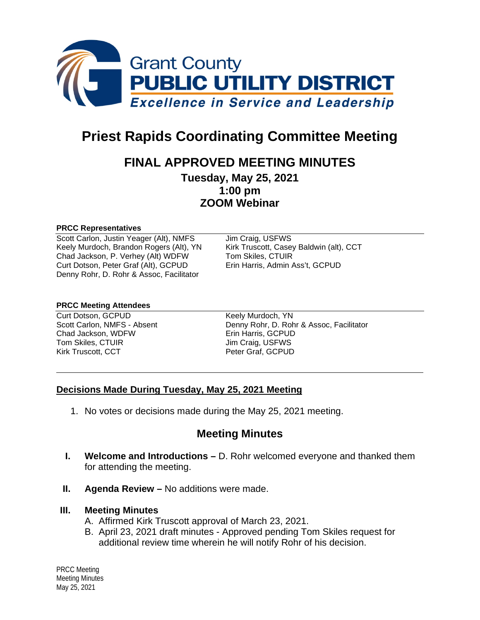

# **Priest Rapids Coordinating Committee Meeting**

# **FINAL APPROVED MEETING MINUTES**

**Tuesday, May 25, 2021 1:00 pm ZOOM Webinar**

#### **PRCC Representatives**

Scott Carlon, Justin Yeager (Alt), NMFS Jim Craig, USFWS Keely Murdoch, Brandon Rogers (Alt), YN Kirk Truscott, Casey Baldwin (alt), CCT Chad Jackson, P. Verhey (Alt) WDFW Tom Skiles, CTUIR<br>Curt Dotson, Peter Graf (Alt), GCPUD Erin Harris, Admin Ass't, GCPUD Curt Dotson, Peter Graf (Alt), GCPUD Denny Rohr, D. Rohr & Assoc, Facilitator

#### **PRCC Meeting Attendees**

Curt Dotson, GCPUD Keely Murdoch, YN Chad Jackson, WDFW Erin Harris, GCPUD Tom Skiles, CTUIR Jim Craig, USFWS Kirk Truscott, CCT Peter Graf, GCPUD

Scott Carlon, NMFS - Absent Denny Rohr, D. Rohr & Assoc, Facilitator

#### **Decisions Made During Tuesday, May 25, 2021 Meeting**

1. No votes or decisions made during the May 25, 2021 meeting.

# **Meeting Minutes**

- **I. Welcome and Introductions –** D. Rohr welcomed everyone and thanked them for attending the meeting.
- **II. Agenda Review –** No additions were made.

#### **III. Meeting Minutes**

- A. Affirmed Kirk Truscott approval of March 23, 2021.
- B. April 23, 2021 draft minutes Approved pending Tom Skiles request for additional review time wherein he will notify Rohr of his decision.

PRCC Meeting Meeting Minutes May 25, 2021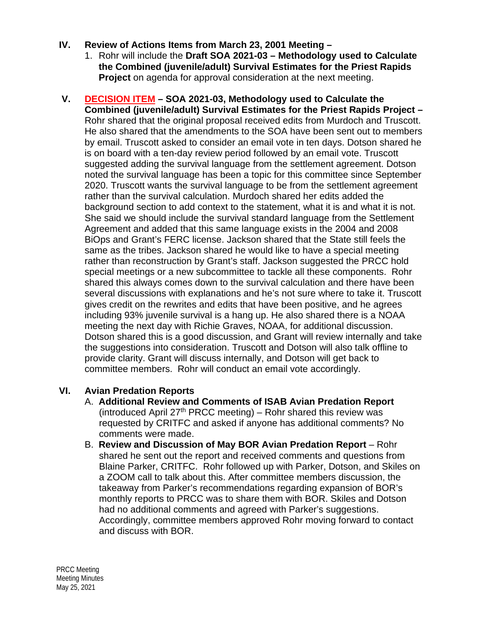### **IV. Review of Actions Items from March 23, 2001 Meeting –**

- 1. Rohr will include the **Draft SOA 2021-03 – Methodology used to Calculate the Combined (juvenile/adult) Survival Estimates for the Priest Rapids Project** on agenda for approval consideration at the next meeting.
- **V. DECISION ITEM – SOA 2021-03, Methodology used to Calculate the Combined (juvenile/adult) Survival Estimates for the Priest Rapids Project –** Rohr shared that the original proposal received edits from Murdoch and Truscott. He also shared that the amendments to the SOA have been sent out to members by email. Truscott asked to consider an email vote in ten days. Dotson shared he is on board with a ten-day review period followed by an email vote. Truscott suggested adding the survival language from the settlement agreement. Dotson noted the survival language has been a topic for this committee since September 2020. Truscott wants the survival language to be from the settlement agreement rather than the survival calculation. Murdoch shared her edits added the background section to add context to the statement, what it is and what it is not. She said we should include the survival standard language from the Settlement Agreement and added that this same language exists in the 2004 and 2008 BiOps and Grant's FERC license. Jackson shared that the State still feels the same as the tribes. Jackson shared he would like to have a special meeting rather than reconstruction by Grant's staff. Jackson suggested the PRCC hold special meetings or a new subcommittee to tackle all these components. Rohr shared this always comes down to the survival calculation and there have been several discussions with explanations and he's not sure where to take it. Truscott gives credit on the rewrites and edits that have been positive, and he agrees including 93% juvenile survival is a hang up. He also shared there is a NOAA meeting the next day with Richie Graves, NOAA, for additional discussion. Dotson shared this is a good discussion, and Grant will review internally and take the suggestions into consideration. Truscott and Dotson will also talk offline to provide clarity. Grant will discuss internally, and Dotson will get back to committee members. Rohr will conduct an email vote accordingly.

## **VI. Avian Predation Reports**

- A. **Additional Review and Comments of ISAB Avian Predation Report** (introduced April 27<sup>th</sup> PRCC meeting) – Rohr shared this review was requested by CRITFC and asked if anyone has additional comments? No comments were made.
- B. **Review and Discussion of May BOR Avian Predation Report** Rohr shared he sent out the report and received comments and questions from Blaine Parker, CRITFC. Rohr followed up with Parker, Dotson, and Skiles on a ZOOM call to talk about this. After committee members discussion, the takeaway from Parker's recommendations regarding expansion of BOR's monthly reports to PRCC was to share them with BOR. Skiles and Dotson had no additional comments and agreed with Parker's suggestions. Accordingly, committee members approved Rohr moving forward to contact and discuss with BOR.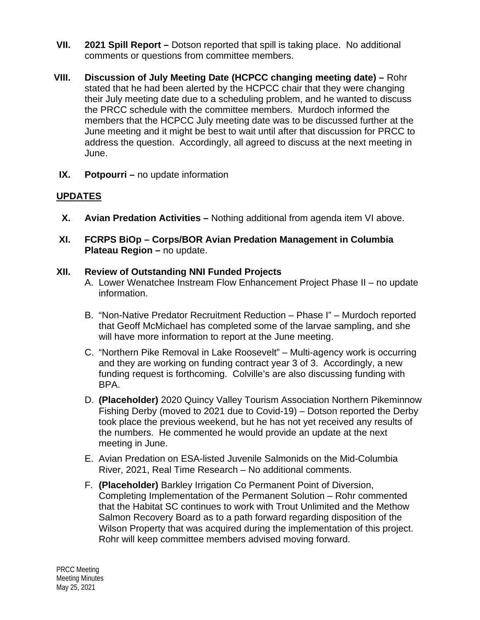- **VII. 2021 Spill Report –** Dotson reported that spill is taking place. No additional comments or questions from committee members.
- **VIII. Discussion of July Meeting Date (HCPCC changing meeting date) –** Rohr stated that he had been alerted by the HCPCC chair that they were changing their July meeting date due to a scheduling problem, and he wanted to discuss the PRCC schedule with the committee members. Murdoch informed the members that the HCPCC July meeting date was to be discussed further at the June meeting and it might be best to wait until after that discussion for PRCC to address the question. Accordingly, all agreed to discuss at the next meeting in June.
- **IX. Potpourri –** no update information

## **UPDATES**

- **X. Avian Predation Activities –** Nothing additional from agenda item VI above.
- **XI. FCRPS BiOp – Corps/BOR Avian Predation Management in Columbia Plateau Region –** no update.

#### **XII. Review of Outstanding NNI Funded Projects**

- A. Lower Wenatchee Instream Flow Enhancement Project Phase II no update information.
- B. "Non-Native Predator Recruitment Reduction Phase I" Murdoch reported that Geoff McMichael has completed some of the larvae sampling, and she will have more information to report at the June meeting.
- C. "Northern Pike Removal in Lake Roosevelt" Multi-agency work is occurring and they are working on funding contract year 3 of 3. Accordingly, a new funding request is forthcoming. Colville's are also discussing funding with BPA.
- D. **(Placeholder)** 2020 Quincy Valley Tourism Association Northern Pikeminnow Fishing Derby (moved to 2021 due to Covid-19) – Dotson reported the Derby took place the previous weekend, but he has not yet received any results of the numbers. He commented he would provide an update at the next meeting in June.
- E. Avian Predation on ESA-listed Juvenile Salmonids on the Mid-Columbia River, 2021, Real Time Research – No additional comments.
- F. **(Placeholder)** Barkley Irrigation Co Permanent Point of Diversion, Completing Implementation of the Permanent Solution – Rohr commented that the Habitat SC continues to work with Trout Unlimited and the Methow Salmon Recovery Board as to a path forward regarding disposition of the Wilson Property that was acquired during the implementation of this project. Rohr will keep committee members advised moving forward.